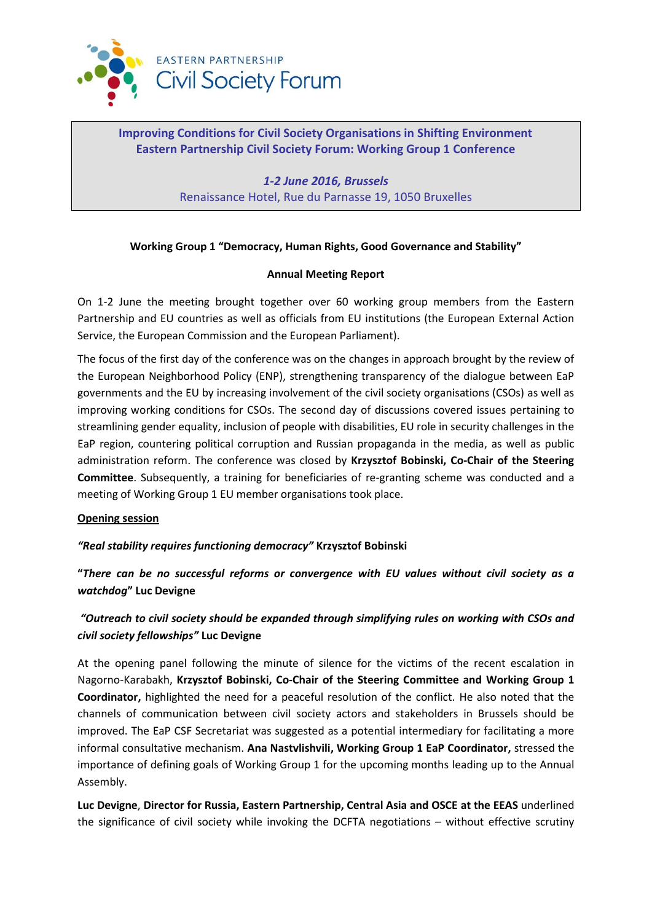

# **Improving Conditions for Civil Society Organisations in Shifting Environment Eastern Partnership Civil Society Forum: Working Group 1 Conference**

*1-2 June 2016, Brussels* Renaissance Hotel, Rue du Parnasse 19, 1050 Bruxelles

## **Working Group 1 "Democracy, Human Rights, Good Governance and Stability"**

## **Annual Meeting Report**

On 1-2 June the meeting brought together over 60 working group members from the Eastern Partnership and EU countries as well as officials from EU institutions (the European External Action Service, the European Commission and the European Parliament).

The focus of the first day of the conference was on the changes in approach brought by the review of the European Neighborhood Policy (ENP), strengthening transparency of the dialogue between EaP governments and the EU by increasing involvement of the civil society organisations (CSOs) as well as improving working conditions for CSOs. The second day of discussions covered issues pertaining to streamlining gender equality, inclusion of people with disabilities, EU role in security challenges in the EaP region, countering political corruption and Russian propaganda in the media, as well as public administration reform. The conference was closed by **Krzysztof Bobinski, Co-Chair of the Steering Committee**. Subsequently, a training for beneficiaries of re-granting scheme was conducted and a meeting of Working Group 1 EU member organisations took place.

## **Opening session**

## *"Real stability requires functioning democracy"* **Krzysztof Bobinski**

**"***There can be no successful reforms or convergence with EU values without civil society as a watchdog***" Luc Devigne**

# *"Outreach to civil society should be expanded through simplifying rules on working with CSOs and civil society fellowships"* **Luc Devigne**

At the opening panel following the minute of silence for the victims of the recent escalation in Nagorno-Karabakh, **Krzysztof Bobinski, Co-Chair of the Steering Committee and Working Group 1 Coordinator,** highlighted the need for a peaceful resolution of the conflict. He also noted that the channels of communication between civil society actors and stakeholders in Brussels should be improved. The EaP CSF Secretariat was suggested as a potential intermediary for facilitating a more informal consultative mechanism. **Ana Nastvlishvili, Working Group 1 EaP Coordinator,** stressed the importance of defining goals of Working Group 1 for the upcoming months leading up to the Annual Assembly.

**Luc Devigne**, **Director for Russia, Eastern Partnership, Central Asia and OSCE at the EEAS** underlined the significance of civil society while invoking the DCFTA negotiations – without effective scrutiny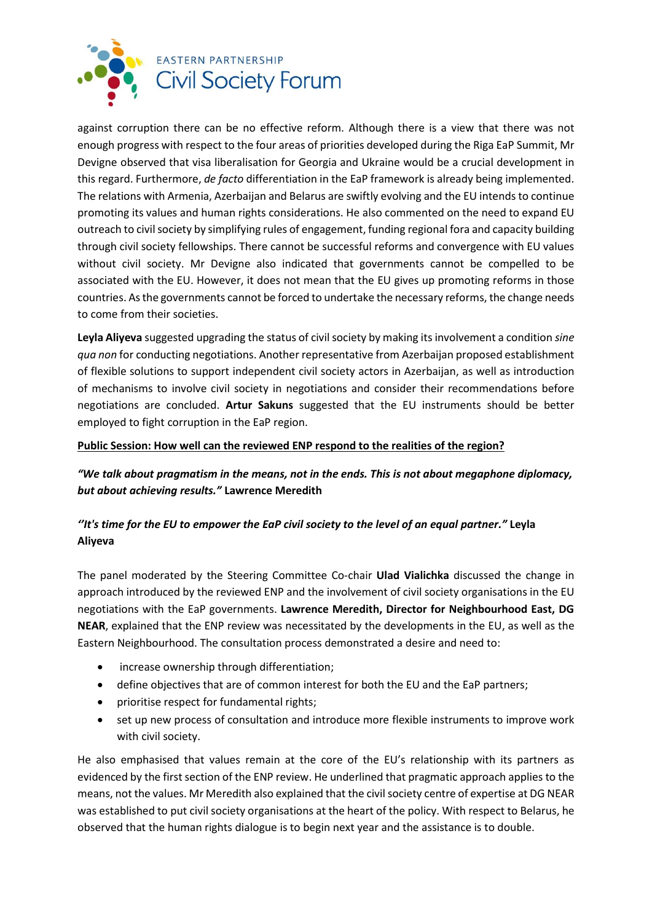

against corruption there can be no effective reform. Although there is a view that there was not enough progress with respect to the four areas of priorities developed during the Riga EaP Summit, Mr Devigne observed that visa liberalisation for Georgia and Ukraine would be a crucial development in this regard. Furthermore, *de facto* differentiation in the EaP framework is already being implemented. The relations with Armenia, Azerbaijan and Belarus are swiftly evolving and the EU intends to continue promoting its values and human rights considerations. He also commented on the need to expand EU outreach to civil society by simplifying rules of engagement, funding regional fora and capacity building through civil society fellowships. There cannot be successful reforms and convergence with EU values without civil society. Mr Devigne also indicated that governments cannot be compelled to be associated with the EU. However, it does not mean that the EU gives up promoting reforms in those countries. As the governments cannot be forced to undertake the necessary reforms, the change needs to come from their societies.

**Leyla Aliyeva** suggested upgrading the status of civil society by making its involvement a condition *sine qua non* for conducting negotiations. Another representative from Azerbaijan proposed establishment of flexible solutions to support independent civil society actors in Azerbaijan, as well as introduction of mechanisms to involve civil society in negotiations and consider their recommendations before negotiations are concluded. **Artur Sakuns** suggested that the EU instruments should be better employed to fight corruption in the EaP region.

## **Public Session: How well can the reviewed ENP respond to the realities of the region?**

*"We talk about pragmatism in the means, not in the ends. This is not about megaphone diplomacy, but about achieving results."* **Lawrence Meredith**

# *''It's time for the EU to empower the EaP civil society to the level of an equal partner."* **Leyla Aliyeva**

The panel moderated by the Steering Committee Co-chair **Ulad Vialichka** discussed the change in approach introduced by the reviewed ENP and the involvement of civil society organisations in the EU negotiations with the EaP governments. **Lawrence Meredith, Director for Neighbourhood East, DG NEAR**, explained that the ENP review was necessitated by the developments in the EU, as well as the Eastern Neighbourhood. The consultation process demonstrated a desire and need to:

- increase ownership through differentiation;
- define objectives that are of common interest for both the EU and the EaP partners;
- prioritise respect for fundamental rights;
- set up new process of consultation and introduce more flexible instruments to improve work with civil society.

He also emphasised that values remain at the core of the EU's relationship with its partners as evidenced by the first section of the ENP review. He underlined that pragmatic approach applies to the means, not the values. Mr Meredith also explained that the civil society centre of expertise at DG NEAR was established to put civil society organisations at the heart of the policy. With respect to Belarus, he observed that the human rights dialogue is to begin next year and the assistance is to double.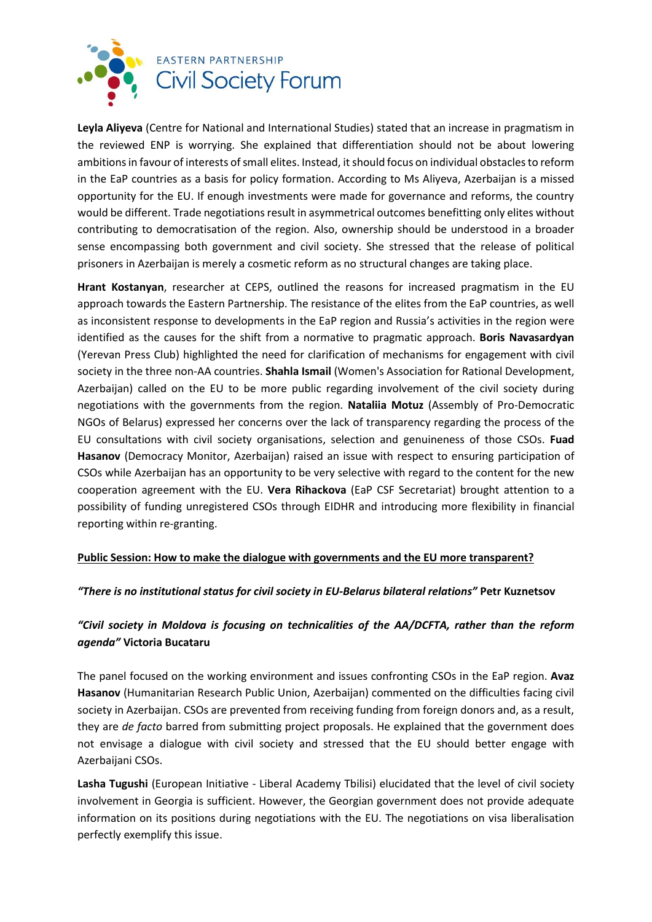

**Leyla Aliyeva** (Centre for National and International Studies) stated that an increase in pragmatism in the reviewed ENP is worrying. She explained that differentiation should not be about lowering ambitions in favour of interests of small elites. Instead, it should focus on individual obstacles to reform in the EaP countries as a basis for policy formation. According to Ms Aliyeva, Azerbaijan is a missed opportunity for the EU. If enough investments were made for governance and reforms, the country would be different. Trade negotiations result in asymmetrical outcomes benefitting only elites without contributing to democratisation of the region. Also, ownership should be understood in a broader sense encompassing both government and civil society. She stressed that the release of political prisoners in Azerbaijan is merely a cosmetic reform as no structural changes are taking place.

**Hrant Kostanyan**, researcher at CEPS, outlined the reasons for increased pragmatism in the EU approach towards the Eastern Partnership. The resistance of the elites from the EaP countries, as well as inconsistent response to developments in the EaP region and Russia's activities in the region were identified as the causes for the shift from a normative to pragmatic approach. **Boris Navasardyan** (Yerevan Press Club) highlighted the need for clarification of mechanisms for engagement with civil society in the three non-AA countries. **Shahla Ismail** (Women's Association for Rational Development, Azerbaijan) called on the EU to be more public regarding involvement of the civil society during negotiations with the governments from the region. **Nataliia Motuz** (Assembly of Pro-Democratic NGOs of Belarus) expressed her concerns over the lack of transparency regarding the process of the EU consultations with civil society organisations, selection and genuineness of those CSOs. **Fuad Hasanov** (Democracy Monitor, Azerbaijan) raised an issue with respect to ensuring participation of CSOs while Azerbaijan has an opportunity to be very selective with regard to the content for the new cooperation agreement with the EU. **Vera Rihackova** (EaP CSF Secretariat) brought attention to a possibility of funding unregistered CSOs through EIDHR and introducing more flexibility in financial reporting within re-granting.

## **Public Session: How to make the dialogue with governments and the EU more transparent?**

#### *"There is no institutional status for civil society in EU-Belarus bilateral relations"* **Petr Kuznetsov**

## *"Civil society in Moldova is focusing on technicalities of the AA/DCFTA, rather than the reform agenda"* **Victoria Bucataru**

The panel focused on the working environment and issues confronting CSOs in the EaP region. **Avaz Hasanov** (Humanitarian Research Public Union, Azerbaijan) commented on the difficulties facing civil society in Azerbaijan. CSOs are prevented from receiving funding from foreign donors and, as a result, they are *de facto* barred from submitting project proposals. He explained that the government does not envisage a dialogue with civil society and stressed that the EU should better engage with Azerbaijani CSOs.

**Lasha Tugushi** (European Initiative - Liberal Academy Tbilisi) elucidated that the level of civil society involvement in Georgia is sufficient. However, the Georgian government does not provide adequate information on its positions during negotiations with the EU. The negotiations on visa liberalisation perfectly exemplify this issue.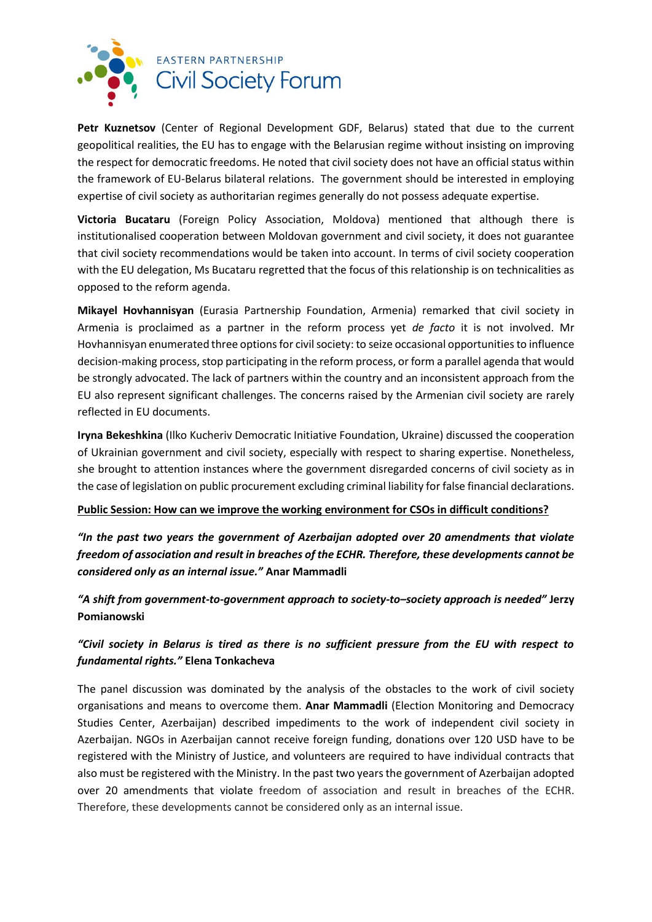

**Petr Kuznetsov** (Center of Regional Development GDF, Belarus) stated that due to the current geopolitical realities, the EU has to engage with the Belarusian regime without insisting on improving the respect for democratic freedoms. He noted that civil society does not have an official status within the framework of EU-Belarus bilateral relations. The government should be interested in employing expertise of civil society as authoritarian regimes generally do not possess adequate expertise.

**Victoria Bucataru** (Foreign Policy Association, Moldova) mentioned that although there is institutionalised cooperation between Moldovan government and civil society, it does not guarantee that civil society recommendations would be taken into account. In terms of civil society cooperation with the EU delegation, Ms Bucataru regretted that the focus of this relationship is on technicalities as opposed to the reform agenda.

**Mikayel Hovhannisyan** (Eurasia Partnership Foundation, Armenia) remarked that civil society in Armenia is proclaimed as a partner in the reform process yet *de facto* it is not involved. Mr Hovhannisyan enumerated three options for civil society: to seize occasional opportunities to influence decision-making process, stop participating in the reform process, or form a parallel agenda that would be strongly advocated. The lack of partners within the country and an inconsistent approach from the EU also represent significant challenges. The concerns raised by the Armenian civil society are rarely reflected in EU documents.

**Iryna Bekeshkina** (Ilko Kucheriv Democratic Initiative Foundation, Ukraine) discussed the cooperation of Ukrainian government and civil society, especially with respect to sharing expertise. Nonetheless, she brought to attention instances where the government disregarded concerns of civil society as in the case of legislation on public procurement excluding criminal liability for false financial declarations.

#### **Public Session: How can we improve the working environment for CSOs in difficult conditions?**

*"In the past two years the government of Azerbaijan adopted over 20 amendments that violate freedom of association and result in breaches of the ECHR. Therefore, these developments cannot be considered only as an internal issue."* **Anar Mammadli**

*"A shift from government-to-government approach to society-to–society approach is needed"* **Jerzy Pomianowski**

# *"Civil society in Belarus is tired as there is no sufficient pressure from the EU with respect to fundamental rights."* **Elena Tonkacheva**

The panel discussion was dominated by the analysis of the obstacles to the work of civil society organisations and means to overcome them. **Anar Mammadli** (Election Monitoring and Democracy Studies Center, Azerbaijan) described impediments to the work of independent civil society in Azerbaijan. NGOs in Azerbaijan cannot receive foreign funding, donations over 120 USD have to be registered with the Ministry of Justice, and volunteers are required to have individual contracts that also must be registered with the Ministry. In the past two years the government of Azerbaijan adopted over 20 amendments that violate freedom of association and result in breaches of the ECHR. Therefore, these developments cannot be considered only as an internal issue.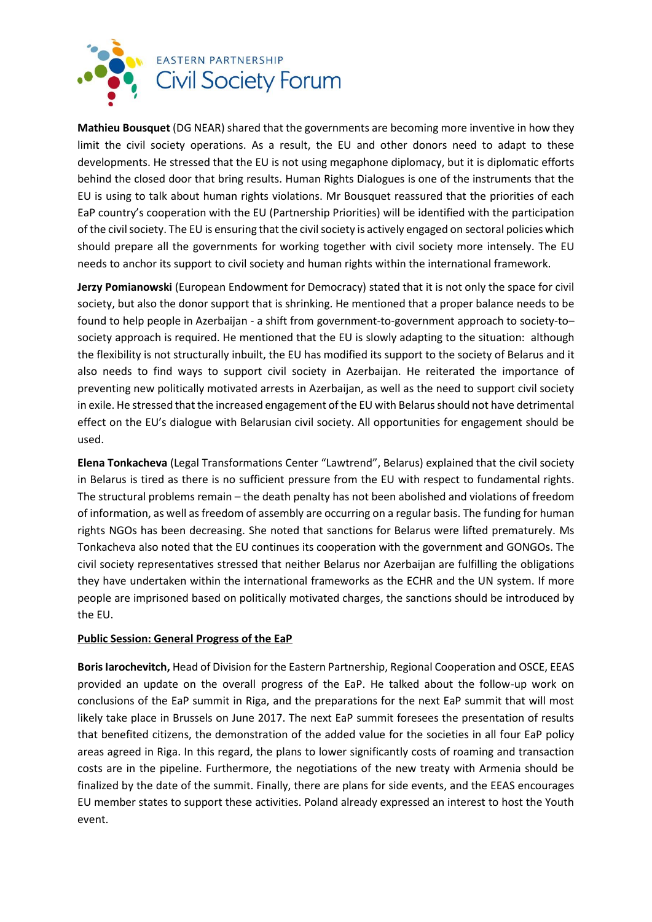

**Mathieu Bousquet** (DG NEAR) shared that the governments are becoming more inventive in how they limit the civil society operations. As a result, the EU and other donors need to adapt to these developments. He stressed that the EU is not using megaphone diplomacy, but it is diplomatic efforts behind the closed door that bring results. Human Rights Dialogues is one of the instruments that the EU is using to talk about human rights violations. Mr Bousquet reassured that the priorities of each EaP country's cooperation with the EU (Partnership Priorities) will be identified with the participation of the civil society. The EU is ensuring that the civil society is actively engaged on sectoral policies which should prepare all the governments for working together with civil society more intensely. The EU needs to anchor its support to civil society and human rights within the international framework.

**Jerzy Pomianowski** (European Endowment for Democracy) stated that it is not only the space for civil society, but also the donor support that is shrinking. He mentioned that a proper balance needs to be found to help people in Azerbaijan - a shift from government-to-government approach to society-to– society approach is required. He mentioned that the EU is slowly adapting to the situation: although the flexibility is not structurally inbuilt, the EU has modified its support to the society of Belarus and it also needs to find ways to support civil society in Azerbaijan. He reiterated the importance of preventing new politically motivated arrests in Azerbaijan, as well as the need to support civil society in exile. He stressed that the increased engagement of the EU with Belarus should not have detrimental effect on the EU's dialogue with Belarusian civil society. All opportunities for engagement should be used.

**Elena Tonkacheva** (Legal Transformations Center "Lawtrend", Belarus) explained that the civil society in Belarus is tired as there is no sufficient pressure from the EU with respect to fundamental rights. The structural problems remain – the death penalty has not been abolished and violations of freedom of information, as well asfreedom of assembly are occurring on a regular basis. The funding for human rights NGOs has been decreasing. She noted that sanctions for Belarus were lifted prematurely. Ms Tonkacheva also noted that the EU continues its cooperation with the government and GONGOs. The civil society representatives stressed that neither Belarus nor Azerbaijan are fulfilling the obligations they have undertaken within the international frameworks as the ECHR and the UN system. If more people are imprisoned based on politically motivated charges, the sanctions should be introduced by the EU.

#### **Public Session: General Progress of the EaP**

**Boris Iarochevitch,** Head of Division for the Eastern Partnership, Regional Cooperation and OSCE, EEAS provided an update on the overall progress of the EaP. He talked about the follow-up work on conclusions of the EaP summit in Riga, and the preparations for the next EaP summit that will most likely take place in Brussels on June 2017. The next EaP summit foresees the presentation of results that benefited citizens, the demonstration of the added value for the societies in all four EaP policy areas agreed in Riga. In this regard, the plans to lower significantly costs of roaming and transaction costs are in the pipeline. Furthermore, the negotiations of the new treaty with Armenia should be finalized by the date of the summit. Finally, there are plans for side events, and the EEAS encourages EU member states to support these activities. Poland already expressed an interest to host the Youth event.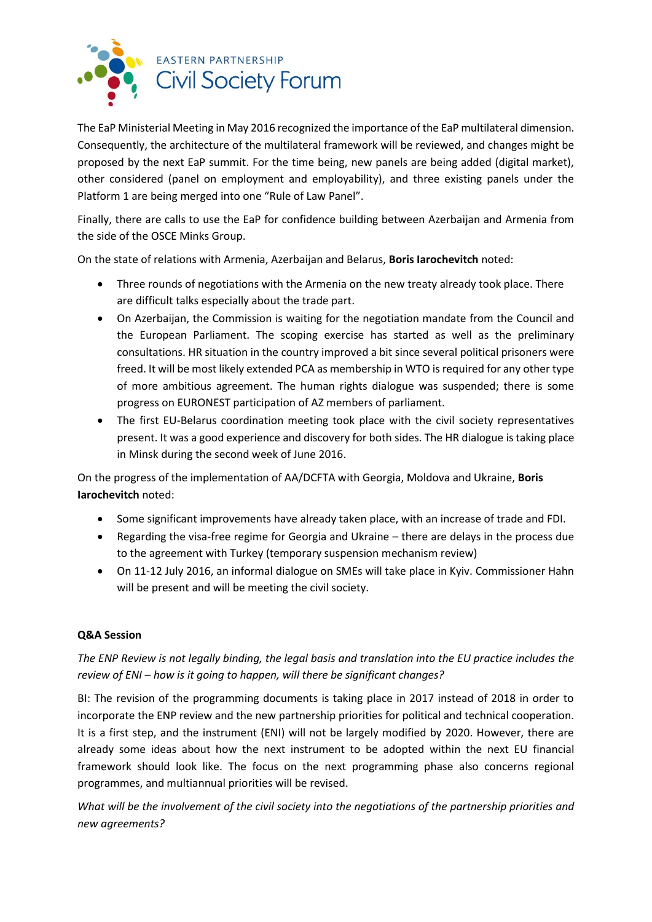

The EaP Ministerial Meeting in May 2016 recognized the importance of the EaP multilateral dimension. Consequently, the architecture of the multilateral framework will be reviewed, and changes might be proposed by the next EaP summit. For the time being, new panels are being added (digital market), other considered (panel on employment and employability), and three existing panels under the Platform 1 are being merged into one "Rule of Law Panel".

Finally, there are calls to use the EaP for confidence building between Azerbaijan and Armenia from the side of the OSCE Minks Group.

On the state of relations with Armenia, Azerbaijan and Belarus, **Boris Iarochevitch** noted:

- Three rounds of negotiations with the Armenia on the new treaty already took place. There are difficult talks especially about the trade part.
- On Azerbaijan, the Commission is waiting for the negotiation mandate from the Council and the European Parliament. The scoping exercise has started as well as the preliminary consultations. HR situation in the country improved a bit since several political prisoners were freed. It will be most likely extended PCA as membership in WTO is required for any other type of more ambitious agreement. The human rights dialogue was suspended; there is some progress on EURONEST participation of AZ members of parliament.
- The first EU-Belarus coordination meeting took place with the civil society representatives present. It was a good experience and discovery for both sides. The HR dialogue is taking place in Minsk during the second week of June 2016.

On the progress of the implementation of AA/DCFTA with Georgia, Moldova and Ukraine, **Boris Iarochevitch** noted:

- Some significant improvements have already taken place, with an increase of trade and FDI.
- Regarding the visa-free regime for Georgia and Ukraine there are delays in the process due to the agreement with Turkey (temporary suspension mechanism review)
- On 11-12 July 2016, an informal dialogue on SMEs will take place in Kyiv. Commissioner Hahn will be present and will be meeting the civil society.

## **Q&A Session**

# *The ENP Review is not legally binding, the legal basis and translation into the EU practice includes the review of ENI – how is it going to happen, will there be significant changes?*

BI: The revision of the programming documents is taking place in 2017 instead of 2018 in order to incorporate the ENP review and the new partnership priorities for political and technical cooperation. It is a first step, and the instrument (ENI) will not be largely modified by 2020. However, there are already some ideas about how the next instrument to be adopted within the next EU financial framework should look like. The focus on the next programming phase also concerns regional programmes, and multiannual priorities will be revised.

*What will be the involvement of the civil society into the negotiations of the partnership priorities and new agreements?*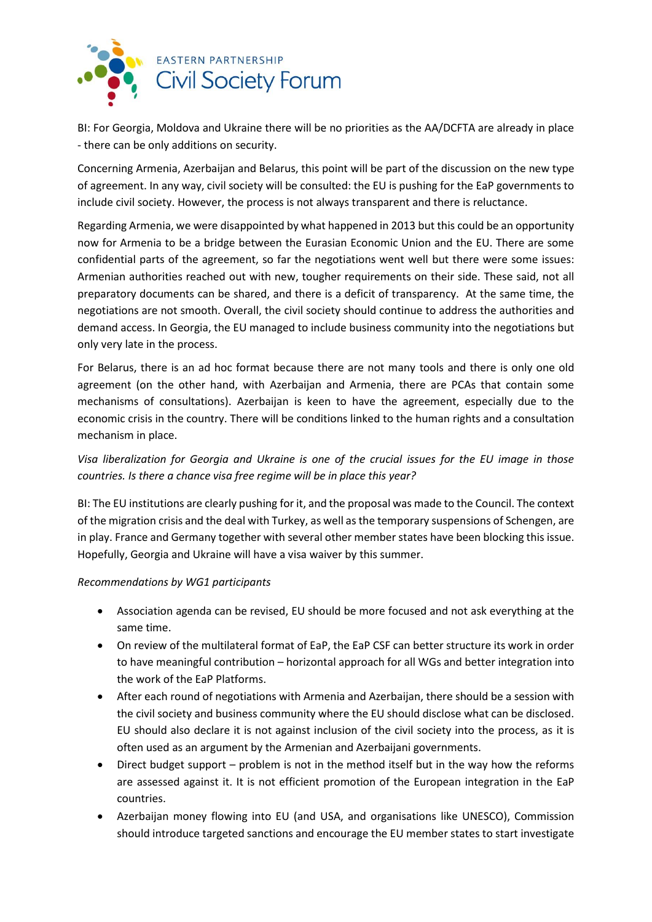

BI: For Georgia, Moldova and Ukraine there will be no priorities as the AA/DCFTA are already in place - there can be only additions on security.

Concerning Armenia, Azerbaijan and Belarus, this point will be part of the discussion on the new type of agreement. In any way, civil society will be consulted: the EU is pushing for the EaP governments to include civil society. However, the process is not always transparent and there is reluctance.

Regarding Armenia, we were disappointed by what happened in 2013 but this could be an opportunity now for Armenia to be a bridge between the Eurasian Economic Union and the EU. There are some confidential parts of the agreement, so far the negotiations went well but there were some issues: Armenian authorities reached out with new, tougher requirements on their side. These said, not all preparatory documents can be shared, and there is a deficit of transparency. At the same time, the negotiations are not smooth. Overall, the civil society should continue to address the authorities and demand access. In Georgia, the EU managed to include business community into the negotiations but only very late in the process.

For Belarus, there is an ad hoc format because there are not many tools and there is only one old agreement (on the other hand, with Azerbaijan and Armenia, there are PCAs that contain some mechanisms of consultations). Azerbaijan is keen to have the agreement, especially due to the economic crisis in the country. There will be conditions linked to the human rights and a consultation mechanism in place.

## *Visa liberalization for Georgia and Ukraine is one of the crucial issues for the EU image in those countries. Is there a chance visa free regime will be in place this year?*

BI: The EU institutions are clearly pushing for it, and the proposal was made to the Council. The context of the migration crisis and the deal with Turkey, as well as the temporary suspensions of Schengen, are in play. France and Germany together with several other member states have been blocking this issue. Hopefully, Georgia and Ukraine will have a visa waiver by this summer.

## *Recommendations by WG1 participants*

- Association agenda can be revised, EU should be more focused and not ask everything at the same time.
- On review of the multilateral format of EaP, the EaP CSF can better structure its work in order to have meaningful contribution – horizontal approach for all WGs and better integration into the work of the EaP Platforms.
- After each round of negotiations with Armenia and Azerbaijan, there should be a session with the civil society and business community where the EU should disclose what can be disclosed. EU should also declare it is not against inclusion of the civil society into the process, as it is often used as an argument by the Armenian and Azerbaijani governments.
- Direct budget support problem is not in the method itself but in the way how the reforms are assessed against it. It is not efficient promotion of the European integration in the EaP countries.
- Azerbaijan money flowing into EU (and USA, and organisations like UNESCO), Commission should introduce targeted sanctions and encourage the EU member states to start investigate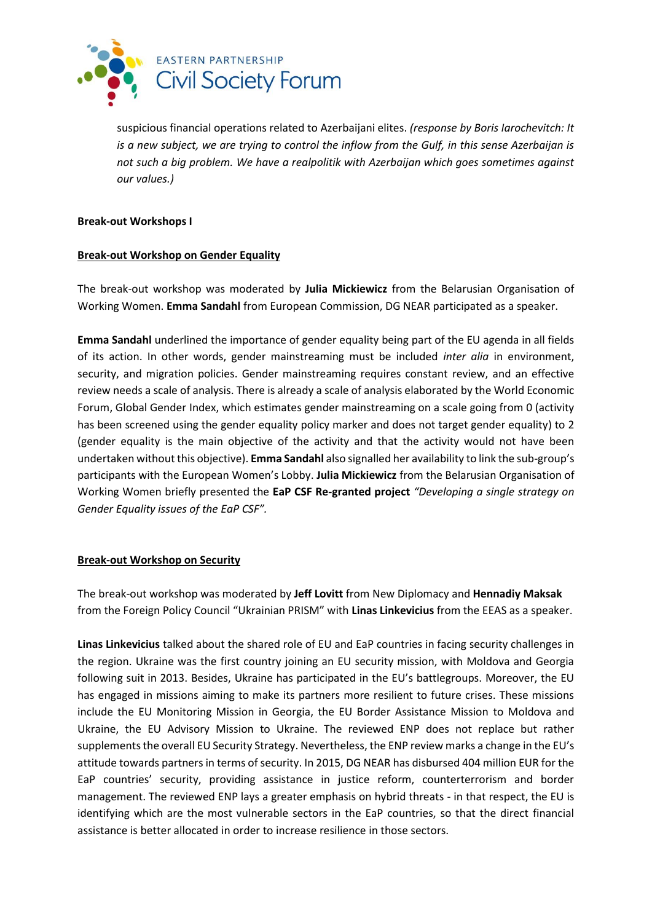

suspicious financial operations related to Azerbaijani elites. *(response by Boris Iarochevitch: It is a new subject, we are trying to control the inflow from the Gulf, in this sense Azerbaijan is not such a big problem. We have a realpolitik with Azerbaijan which goes sometimes against our values.)*

#### **Break-out Workshops I**

### **Break-out Workshop on Gender Equality**

The break-out workshop was moderated by **Julia Mickiewicz** from the Belarusian Organisation of Working Women. **Emma Sandahl** from European Commission, DG NEAR participated as a speaker.

**Emma Sandahl** underlined the importance of gender equality being part of the EU agenda in all fields of its action. In other words, gender mainstreaming must be included *inter alia* in environment, security, and migration policies. Gender mainstreaming requires constant review, and an effective review needs a scale of analysis. There is already a scale of analysis elaborated by the World Economic Forum, Global Gender Index, which estimates gender mainstreaming on a scale going from 0 (activity has been screened using the gender equality policy marker and does not target gender equality) to 2 (gender equality is the main objective of the activity and that the activity would not have been undertaken without this objective). **Emma Sandahl** also signalled her availability to link the sub-group's participants with the European Women's Lobby. **Julia Mickiewicz** from the Belarusian Organisation of Working Women briefly presented the **EaP CSF Re-granted project** *"Developing a single strategy on Gender Equality issues of the EaP CSF".*

## **Break-out Workshop on Security**

The break-out workshop was moderated by **Jeff Lovitt** from New Diplomacy and **Hennadiy Maksak**  from the Foreign Policy Council "Ukrainian PRISM" with **Linas Linkevicius** from the EEAS as a speaker.

**Linas Linkevicius** talked about the shared role of EU and EaP countries in facing security challenges in the region. Ukraine was the first country joining an EU security mission, with Moldova and Georgia following suit in 2013. Besides, Ukraine has participated in the EU's battlegroups. Moreover, the EU has engaged in missions aiming to make its partners more resilient to future crises. These missions include the EU Monitoring Mission in Georgia, the EU Border Assistance Mission to Moldova and Ukraine, the EU Advisory Mission to Ukraine. The reviewed ENP does not replace but rather supplements the overall EU Security Strategy. Nevertheless, the ENP review marks a change in the EU's attitude towards partners in terms of security. In 2015, DG NEAR has disbursed 404 million EUR for the EaP countries' security, providing assistance in justice reform, counterterrorism and border management. The reviewed ENP lays a greater emphasis on hybrid threats - in that respect, the EU is identifying which are the most vulnerable sectors in the EaP countries, so that the direct financial assistance is better allocated in order to increase resilience in those sectors.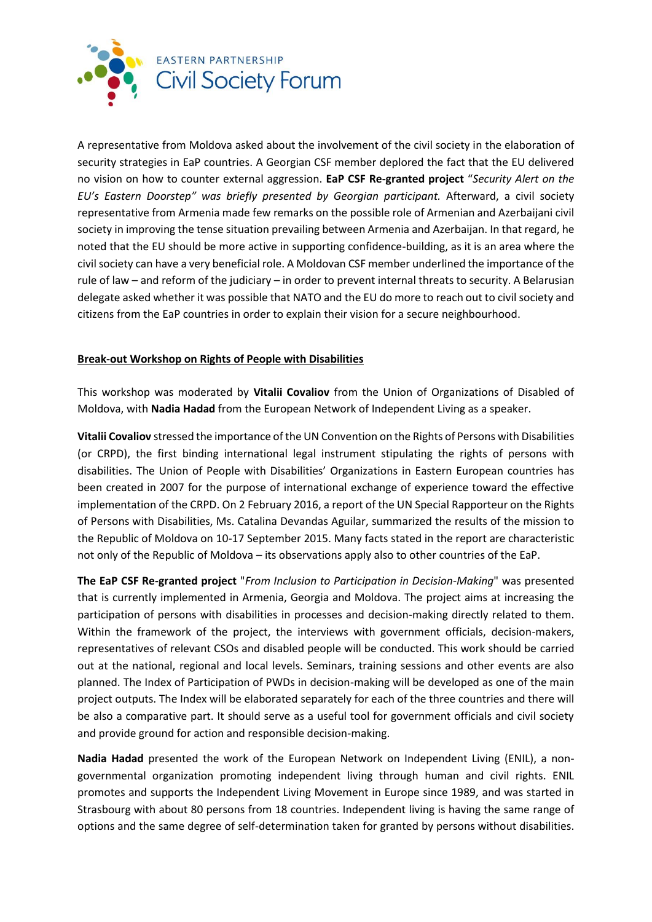

A representative from Moldova asked about the involvement of the civil society in the elaboration of security strategies in EaP countries. A Georgian CSF member deplored the fact that the EU delivered no vision on how to counter external aggression. **EaP CSF Re-granted project** "*Security Alert on the EU's Eastern Doorstep" was briefly presented by Georgian participant.* Afterward, a civil society representative from Armenia made few remarks on the possible role of Armenian and Azerbaijani civil society in improving the tense situation prevailing between Armenia and Azerbaijan. In that regard, he noted that the EU should be more active in supporting confidence-building, as it is an area where the civil society can have a very beneficial role. A Moldovan CSF member underlined the importance of the rule of law – and reform of the judiciary – in order to prevent internal threats to security. A Belarusian delegate asked whether it was possible that NATO and the EU do more to reach out to civil society and citizens from the EaP countries in order to explain their vision for a secure neighbourhood.

## **Break-out Workshop on Rights of People with Disabilities**

This workshop was moderated by **Vitalii Covaliov** from the Union of Organizations of Disabled of Moldova, with **Nadia Hadad** from the European Network of Independent Living as a speaker.

**Vitalii Covaliov** stressed the importance of the UN Convention on the Rights of Persons with Disabilities (or CRPD), the first binding international legal instrument stipulating the rights of persons with disabilities. The Union of People with Disabilities' Organizations in Eastern European countries has been created in 2007 for the purpose of international exchange of experience toward the effective implementation of the CRPD. On 2 February 2016, a report of the UN Special Rapporteur on the Rights of Persons with Disabilities, Ms. Catalina Devandas Aguilar, summarized the results of the mission to the Republic of Moldova on 10-17 September 2015. Many facts stated in the report are characteristic not only of the Republic of Moldova – its observations apply also to other countries of the EaP.

**The EaP CSF Re-granted project** "*From Inclusion to Participation in Decision-Making*" was presented that is currently implemented in Armenia, Georgia and Moldova. The project aims at increasing the participation of persons with disabilities in processes and decision-making directly related to them. Within the framework of the project, the interviews with government officials, decision-makers, representatives of relevant CSOs and disabled people will be conducted. This work should be carried out at the national, regional and local levels. Seminars, training sessions and other events are also planned. The Index of Participation of PWDs in decision-making will be developed as one of the main project outputs. The Index will be elaborated separately for each of the three countries and there will be also a comparative part. It should serve as a useful tool for government officials and civil society and provide ground for action and responsible decision-making.

**Nadia Hadad** presented the work of the European Network on Independent Living (ENIL), a nongovernmental organization promoting independent living through human and civil rights. ENIL promotes and supports the Independent Living Movement in Europe since 1989, and was started in Strasbourg with about 80 persons from 18 countries. Independent living is having the same range of options and the same degree of self-determination taken for granted by persons without disabilities.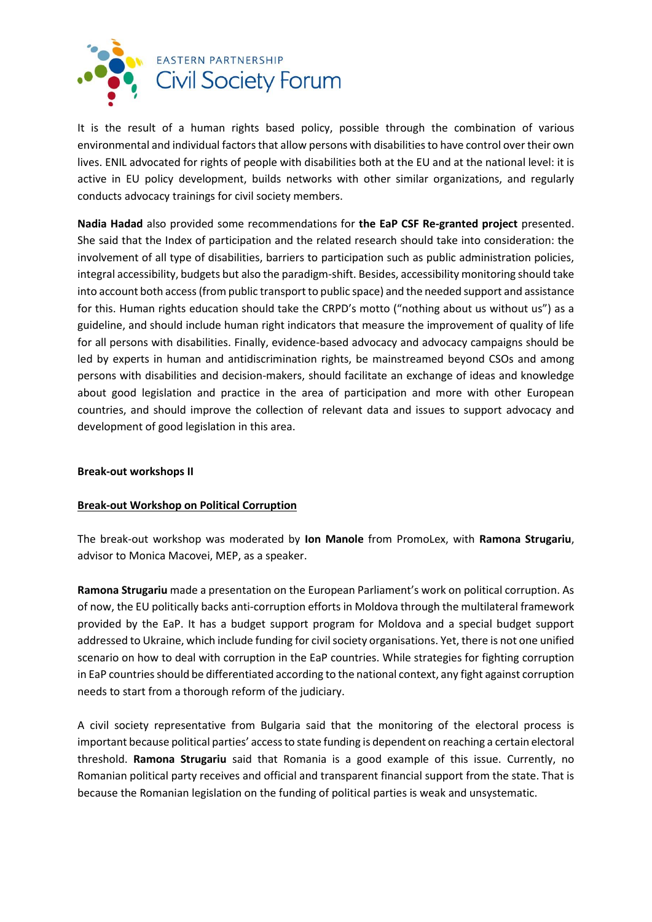

It is the result of a human rights based policy, possible through the combination of various environmental and individual factors that allow persons with disabilities to have control over their own lives. ENIL advocated for rights of people with disabilities both at the EU and at the national level: it is active in EU policy development, builds networks with other similar organizations, and regularly conducts advocacy trainings for civil society members.

**Nadia Hadad** also provided some recommendations for **the EaP CSF Re-granted project** presented. She said that the Index of participation and the related research should take into consideration: the involvement of all type of disabilities, barriers to participation such as public administration policies, integral accessibility, budgets but also the paradigm-shift. Besides, accessibility monitoring should take into account both access (from public transport to public space) and the needed support and assistance for this. Human rights education should take the CRPD's motto ("nothing about us without us") as a guideline, and should include human right indicators that measure the improvement of quality of life for all persons with disabilities. Finally, evidence-based advocacy and advocacy campaigns should be led by experts in human and antidiscrimination rights, be mainstreamed beyond CSOs and among persons with disabilities and decision-makers, should facilitate an exchange of ideas and knowledge about good legislation and practice in the area of participation and more with other European countries, and should improve the collection of relevant data and issues to support advocacy and development of good legislation in this area.

#### **Break-out workshops II**

## **Break-out Workshop on Political Corruption**

The break-out workshop was moderated by **Ion Manole** from PromoLex, with **Ramona Strugariu**, advisor to Monica Macovei, MEP, as a speaker.

**Ramona Strugariu** made a presentation on the European Parliament's work on political corruption. As of now, the EU politically backs anti-corruption efforts in Moldova through the multilateral framework provided by the EaP. It has a budget support program for Moldova and a special budget support addressed to Ukraine, which include funding for civil society organisations. Yet, there is not one unified scenario on how to deal with corruption in the EaP countries. While strategies for fighting corruption in EaP countries should be differentiated according to the national context, any fight against corruption needs to start from a thorough reform of the judiciary.

A civil society representative from Bulgaria said that the monitoring of the electoral process is important because political parties' access to state funding is dependent on reaching a certain electoral threshold. **Ramona Strugariu** said that Romania is a good example of this issue. Currently, no Romanian political party receives and official and transparent financial support from the state. That is because the Romanian legislation on the funding of political parties is weak and unsystematic.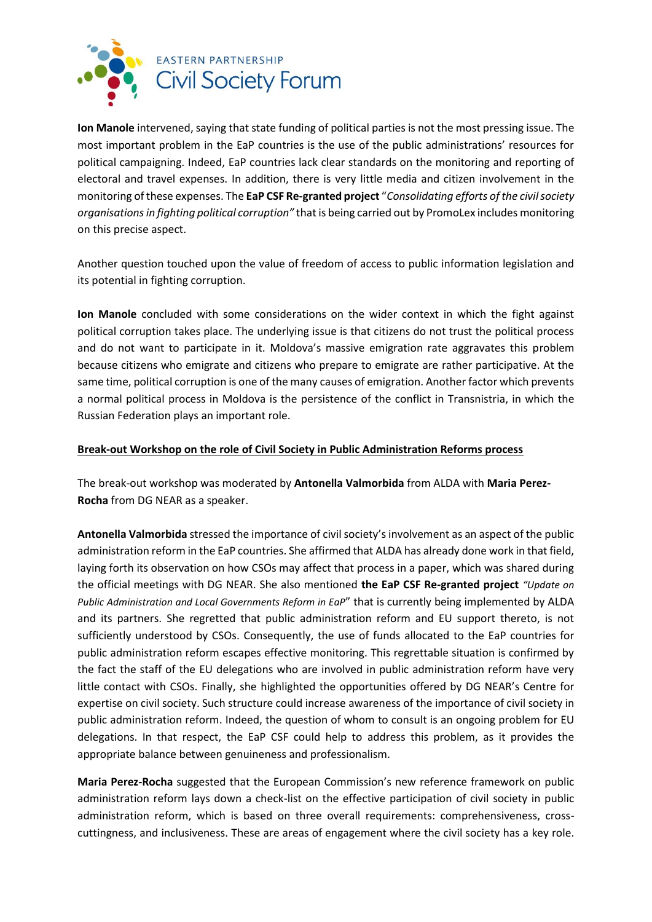

**Ion Manole** intervened, saying that state funding of political parties is not the most pressing issue. The most important problem in the EaP countries is the use of the public administrations' resources for political campaigning. Indeed, EaP countries lack clear standards on the monitoring and reporting of electoral and travel expenses. In addition, there is very little media and citizen involvement in the monitoring of these expenses. The **EaP CSF Re-granted project** "*Consolidating efforts of the civil society organisations in fighting political corruption"* that is being carried out by PromoLex includes monitoring on this precise aspect.

Another question touched upon the value of freedom of access to public information legislation and its potential in fighting corruption.

**Ion Manole** concluded with some considerations on the wider context in which the fight against political corruption takes place. The underlying issue is that citizens do not trust the political process and do not want to participate in it. Moldova's massive emigration rate aggravates this problem because citizens who emigrate and citizens who prepare to emigrate are rather participative. At the same time, political corruption is one of the many causes of emigration. Another factor which prevents a normal political process in Moldova is the persistence of the conflict in Transnistria, in which the Russian Federation plays an important role.

### **Break-out Workshop on the role of Civil Society in Public Administration Reforms process**

The break-out workshop was moderated by **Antonella Valmorbida** from ALDA with **Maria Perez-Rocha** from DG NEAR as a speaker.

**Antonella Valmorbida** stressed the importance of civil society's involvement as an aspect of the public administration reform in the EaP countries. She affirmed that ALDA has already done work in that field, laying forth its observation on how CSOs may affect that process in a paper, which was shared during the official meetings with DG NEAR. She also mentioned **the EaP CSF Re-granted project** *"Update on Public Administration and Local Governments Reform in EaP*" that is currently being implemented by ALDA and its partners. She regretted that public administration reform and EU support thereto, is not sufficiently understood by CSOs. Consequently, the use of funds allocated to the EaP countries for public administration reform escapes effective monitoring. This regrettable situation is confirmed by the fact the staff of the EU delegations who are involved in public administration reform have very little contact with CSOs. Finally, she highlighted the opportunities offered by DG NEAR's Centre for expertise on civil society. Such structure could increase awareness of the importance of civil society in public administration reform. Indeed, the question of whom to consult is an ongoing problem for EU delegations. In that respect, the EaP CSF could help to address this problem, as it provides the appropriate balance between genuineness and professionalism.

**Maria Perez-Rocha** suggested that the European Commission's new reference framework on public administration reform lays down a check-list on the effective participation of civil society in public administration reform, which is based on three overall requirements: comprehensiveness, crosscuttingness, and inclusiveness. These are areas of engagement where the civil society has a key role.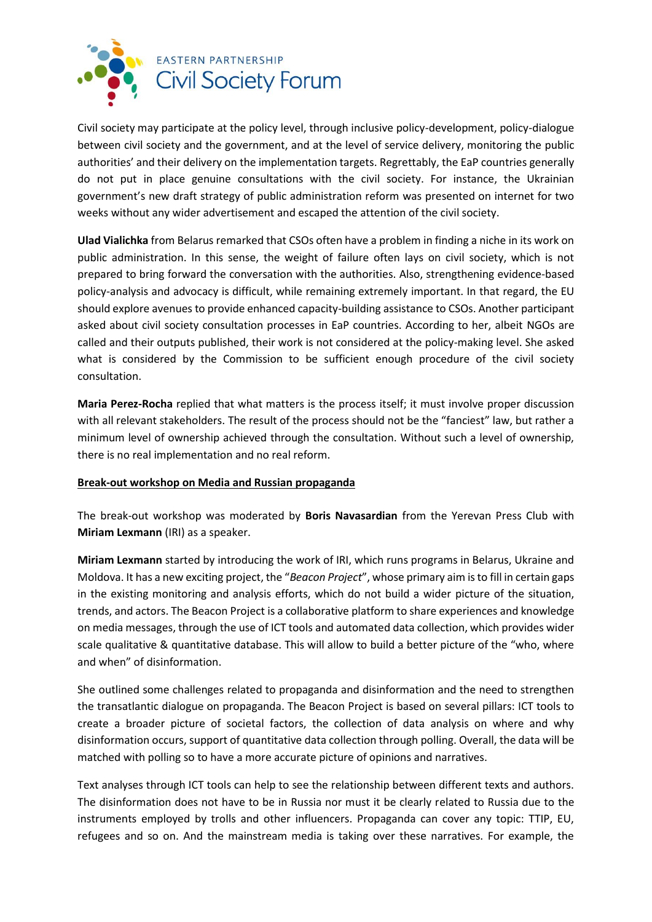

Civil society may participate at the policy level, through inclusive policy-development, policy-dialogue between civil society and the government, and at the level of service delivery, monitoring the public authorities' and their delivery on the implementation targets. Regrettably, the EaP countries generally do not put in place genuine consultations with the civil society. For instance, the Ukrainian government's new draft strategy of public administration reform was presented on internet for two weeks without any wider advertisement and escaped the attention of the civil society.

**Ulad Vialichka** from Belarus remarked that CSOs often have a problem in finding a niche in its work on public administration. In this sense, the weight of failure often lays on civil society, which is not prepared to bring forward the conversation with the authorities. Also, strengthening evidence-based policy-analysis and advocacy is difficult, while remaining extremely important. In that regard, the EU should explore avenues to provide enhanced capacity-building assistance to CSOs. Another participant asked about civil society consultation processes in EaP countries. According to her, albeit NGOs are called and their outputs published, their work is not considered at the policy-making level. She asked what is considered by the Commission to be sufficient enough procedure of the civil society consultation.

**Maria Perez-Rocha** replied that what matters is the process itself; it must involve proper discussion with all relevant stakeholders. The result of the process should not be the "fanciest" law, but rather a minimum level of ownership achieved through the consultation. Without such a level of ownership, there is no real implementation and no real reform.

## **Break-out workshop on Media and Russian propaganda**

The break-out workshop was moderated by **Boris Navasardian** from the Yerevan Press Club with **Miriam Lexmann** (IRI) as a speaker.

**Miriam Lexmann** started by introducing the work of IRI, which runs programs in Belarus, Ukraine and Moldova. It has a new exciting project, the "*Beacon Project*", whose primary aim is to fill in certain gaps in the existing monitoring and analysis efforts, which do not build a wider picture of the situation, trends, and actors. The Beacon Project is a collaborative platform to share experiences and knowledge on media messages, through the use of ICT tools and automated data collection, which provides wider scale qualitative & quantitative database. This will allow to build a better picture of the "who, where and when" of disinformation.

She outlined some challenges related to propaganda and disinformation and the need to strengthen the transatlantic dialogue on propaganda. The Beacon Project is based on several pillars: ICT tools to create a broader picture of societal factors, the collection of data analysis on where and why disinformation occurs, support of quantitative data collection through polling. Overall, the data will be matched with polling so to have a more accurate picture of opinions and narratives.

Text analyses through ICT tools can help to see the relationship between different texts and authors. The disinformation does not have to be in Russia nor must it be clearly related to Russia due to the instruments employed by trolls and other influencers. Propaganda can cover any topic: TTIP, EU, refugees and so on. And the mainstream media is taking over these narratives. For example, the